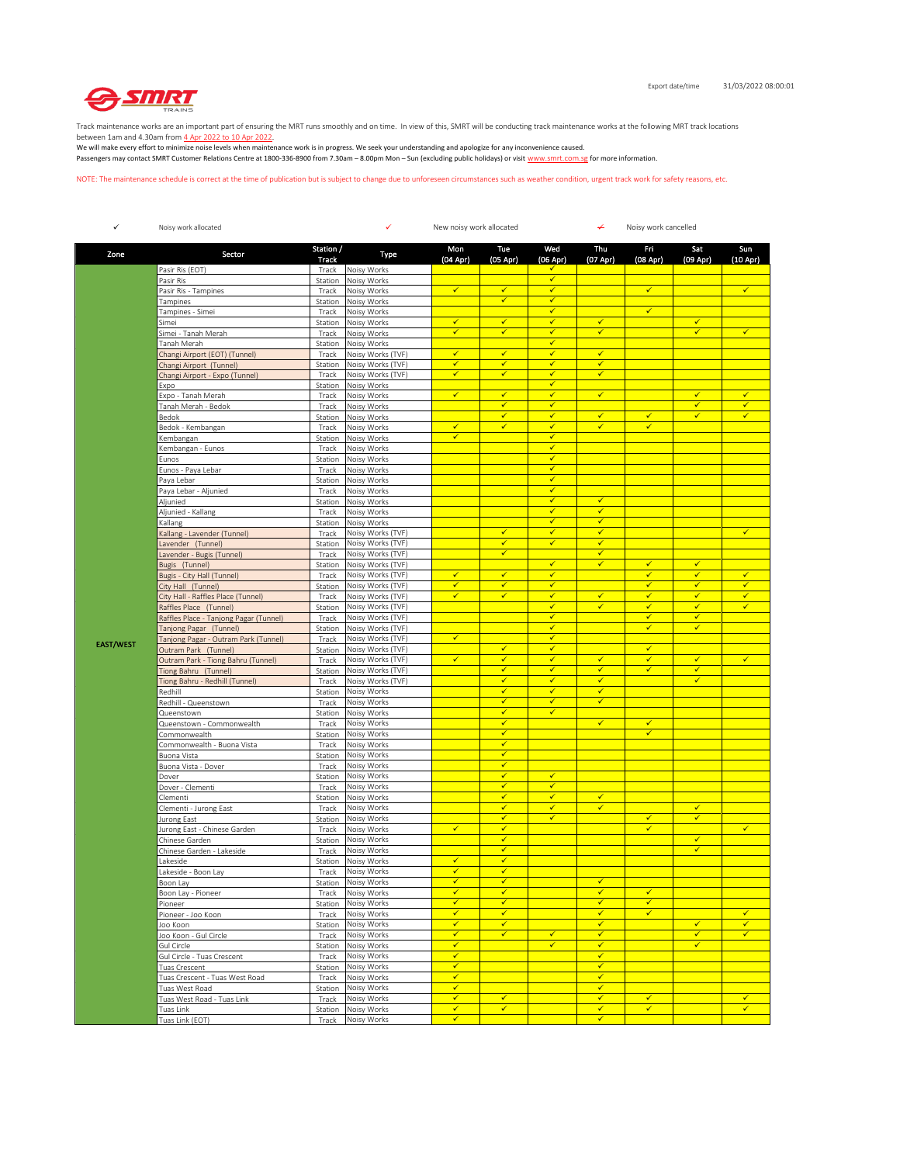

Track maintenance works are an important part of ensuring the MRT runs smoothly and on time. In view of this, SMRT will be conducting track maintenance works at the following MRT track locations

between 1am and 4.30am from <u>4 Apr 2022 to 10 Apr 2022</u>.<br>We will make every effort to minimize noise levels when maintenance work is in progress. We seek your understanding and apologize for any inconvenience caused. Passengers may contact SMRT Customer Relations Centre at 1800-336-8900 from 7.30am – 8.00pm Mon – Sun (excluding public holidays) or visit www.smrt.com.sg for more information.

NOTE: The maintenance schedule is correct at the time of publication but is subject to change due to unforeseen circumstances such as weather condition, urgent track work for safety reasons, etc.

| $\checkmark$     | Noisy work allocated                                                                                                                                               |                    | ✓<br>New noisy work allocated<br>↵<br>Noisy work cancelled |                              |                              |                                         |                              |                   |                              |                   |
|------------------|--------------------------------------------------------------------------------------------------------------------------------------------------------------------|--------------------|------------------------------------------------------------|------------------------------|------------------------------|-----------------------------------------|------------------------------|-------------------|------------------------------|-------------------|
| Zone             | Sector                                                                                                                                                             | Station /<br>Track | Type                                                       | Mon<br>(04 Apr)              | Tue<br>$(05$ Apr)            | Wed<br>(06 Apr)                         | Thu<br>(07 Apr)              | Fri<br>(08 Apr)   | Sat<br>$(09$ Apr)            | Sun<br>$(10$ Apr) |
|                  | Pasir Ris (EOT)                                                                                                                                                    | Track              | Noisy Works                                                |                              |                              | ✓                                       |                              |                   |                              |                   |
|                  | Pasir Ris                                                                                                                                                          | Station            | Noisy Works                                                |                              |                              | $\checkmark$                            |                              |                   |                              |                   |
|                  | Pasir Ris - Tampines                                                                                                                                               | Track              | Noisy Works                                                | $\checkmark$                 | $\checkmark$<br>$\checkmark$ | $\checkmark$<br>$\checkmark$            |                              | $\checkmark$      |                              | $\checkmark$      |
|                  | Tampines<br>Tampines - Simei                                                                                                                                       | Station<br>Track   | Noisy Works<br>Noisy Works                                 |                              |                              | $\checkmark$                            |                              | $\checkmark$      |                              |                   |
|                  | Simei                                                                                                                                                              | Station            | Noisy Works                                                | ✓                            | ✓                            | $\checkmark$                            | ✓                            |                   | ✓                            |                   |
|                  | Simei - Tanah Merah                                                                                                                                                | Track              | Noisy Works                                                | ✓                            | $\checkmark$                 | $\overline{\checkmark}$                 | $\checkmark$                 |                   | $\checkmark$                 | $\checkmark$      |
|                  | Tanah Merah                                                                                                                                                        | Station            | Noisy Works                                                |                              |                              | $\checkmark$                            |                              |                   |                              |                   |
|                  | Changi Airport (EOT) (Tunnel)                                                                                                                                      | Track              | Noisy Works (TVF)                                          | $\checkmark$                 | $\checkmark$                 | $\checkmark$                            | $\checkmark$                 |                   |                              |                   |
|                  | Changi Airport (Tunnel)                                                                                                                                            | Station            | Noisy Works (TVF)                                          | $\checkmark$                 | ✓                            | ✓                                       | ✓                            |                   |                              |                   |
|                  | Changi Airport - Expo (Tunnel)                                                                                                                                     | Track              | Noisy Works (TVF)                                          | ✓                            | ✓                            | $\checkmark$<br>$\checkmark$            | $\checkmark$                 |                   |                              |                   |
|                  | Expo                                                                                                                                                               | Station            | Noisy Works                                                | ✓                            | $\checkmark$                 | $\checkmark$                            | $\checkmark$                 |                   | $\checkmark$                 | $\checkmark$      |
|                  | Expo - Tanah Merah<br>Tanah Merah - Bedok                                                                                                                          | Track<br>Track     | Noisy Works<br>Noisy Works                                 |                              | $\checkmark$                 | $\checkmark$                            |                              |                   | $\checkmark$                 | ✓                 |
|                  | Bedok                                                                                                                                                              | Station            | Noisy Works                                                |                              | $\checkmark$                 | $\overline{\checkmark}$                 | $\checkmark$                 | $\checkmark$      | ✓                            | $\checkmark$      |
|                  | Bedok - Kembangan                                                                                                                                                  | Track              | Noisy Works                                                | ✓                            | ✓                            | $\checkmark$                            | $\checkmark$                 | $\checkmark$      |                              |                   |
|                  | <embangan< td=""><td>Station</td><td>Noisy Works</td><td>✓</td><td></td><td><math>\checkmark</math></td><td></td><td></td><td></td><td></td></embangan<>           | Station            | Noisy Works                                                | ✓                            |                              | $\checkmark$                            |                              |                   |                              |                   |
|                  | <embangan -="" eunos<="" td=""><td>Track</td><td>Noisy Works</td><td></td><td></td><td><math>\checkmark</math></td><td></td><td></td><td></td><td></td></embangan> | Track              | Noisy Works                                                |                              |                              | $\checkmark$                            |                              |                   |                              |                   |
|                  | Eunos                                                                                                                                                              | Station            | Noisy Works                                                |                              |                              | $\checkmark$                            |                              |                   |                              |                   |
|                  | Eunos - Paya Lebar                                                                                                                                                 | Track              | Noisy Works                                                |                              |                              | $\overline{\checkmark}$                 |                              |                   |                              |                   |
|                  | Paya Lebar                                                                                                                                                         | Station            | Noisy Works                                                |                              |                              | $\checkmark$                            |                              |                   |                              |                   |
|                  | Paya Lebar - Aljunied                                                                                                                                              | Track              | Noisy Works                                                |                              |                              | $\checkmark$<br>$\checkmark$            |                              |                   |                              |                   |
|                  | Aljunied                                                                                                                                                           | Station            | Noisy Works                                                |                              |                              | $\checkmark$                            | $\checkmark$<br>✓            |                   |                              |                   |
|                  | Aljunied - Kallang<br>Kallang                                                                                                                                      | Track<br>Station   | Noisy Works<br>Noisy Works                                 |                              |                              | $\overline{\checkmark}$                 | $\checkmark$                 |                   |                              |                   |
|                  | Kallang - Lavender (Tunnel)                                                                                                                                        | Track              | Noisy Works (TVF)                                          |                              | $\checkmark$                 | $\checkmark$                            | $\checkmark$                 |                   |                              | $\checkmark$      |
|                  | Lavender (Tunnel)                                                                                                                                                  | Station            | Noisy Works (TVF)                                          |                              | $\checkmark$                 | $\checkmark$                            | $\checkmark$                 |                   |                              |                   |
|                  | Lavender - Bugis (Tunnel)                                                                                                                                          | Track              | Noisy Works (TVF)                                          |                              | $\checkmark$                 |                                         | $\checkmark$                 |                   |                              |                   |
|                  | Bugis (Tunnel)                                                                                                                                                     | Station            | Noisy Works (TVF)                                          |                              |                              | $\checkmark$                            | $\checkmark$                 | ✓                 | ✔                            |                   |
|                  | Bugis - City Hall (Tunnel)                                                                                                                                         | Track              | Noisy Works (TVF)                                          | $\checkmark$                 | $\checkmark$                 | $\overline{\checkmark}$                 |                              | $\checkmark$      | $\checkmark$                 | $\checkmark$      |
|                  | City Hall (Tunnel)                                                                                                                                                 | Station            | Noisy Works (TVF)                                          | ✓                            | $\checkmark$                 | $\checkmark$                            |                              | $\checkmark$      | $\checkmark$                 | $\checkmark$      |
|                  | City Hall - Raffles Place (Tunnel)                                                                                                                                 | Track              | Noisy Works (TVF)                                          | ✓                            | $\checkmark$                 | $\checkmark$                            | $\checkmark$                 | ✓                 | $\checkmark$                 | $\checkmark$      |
|                  | Raffles Place (Tunnel)                                                                                                                                             | Station            | Noisy Works (TVF)                                          |                              |                              | $\checkmark$                            | $\checkmark$                 | ✓                 | $\checkmark$                 | $\checkmark$      |
|                  | Raffles Place - Tanjong Pagar (Tunnel)                                                                                                                             | Track              | Noisy Works (TVF)<br>Noisy Works (TVF)                     |                              |                              | $\checkmark$<br>$\overline{\checkmark}$ |                              | √<br>$\checkmark$ | $\checkmark$<br>$\checkmark$ |                   |
|                  | Tanjong Pagar (Tunnel)<br>Tanjong Pagar - Outram Park (Tunnel)                                                                                                     | Station<br>Track   | Noisy Works (TVF)                                          | $\checkmark$                 |                              | $\checkmark$                            |                              |                   |                              |                   |
| <b>EAST/WEST</b> | Outram Park (Tunnel)                                                                                                                                               | Station            | Noisy Works (TVF)                                          |                              | $\checkmark$                 | $\checkmark$                            |                              | $\checkmark$      |                              |                   |
|                  | Outram Park - Tiong Bahru (Tunnel)                                                                                                                                 | Track              | Noisy Works (TVF)                                          | ✓                            | $\checkmark$                 | $\checkmark$                            | $\checkmark$                 | ✓                 | $\checkmark$                 | $\checkmark$      |
|                  | Tiong Bahru (Tunnel)                                                                                                                                               | Station            | Noisy Works (TVF)                                          |                              | ✓                            | $\checkmark$                            | ✓                            | ✓                 | $\checkmark$                 |                   |
|                  | Tiong Bahru - Redhill (Tunnel)                                                                                                                                     | Track              | Noisy Works (TVF)                                          |                              | $\checkmark$                 | $\overline{\checkmark}$                 | $\checkmark$                 |                   | ✓                            |                   |
|                  | Redhill                                                                                                                                                            | Station            | Noisy Works                                                |                              | $\checkmark$                 | $\checkmark$                            | ✓                            |                   |                              |                   |
|                  | Redhill - Queenstown                                                                                                                                               | Track              | Noisy Works                                                |                              | $\checkmark$                 | $\checkmark$                            | $\checkmark$                 |                   |                              |                   |
|                  | Queenstown                                                                                                                                                         | Station            | Noisy Works                                                |                              | $\checkmark$<br>$\checkmark$ | $\checkmark$                            | $\checkmark$                 |                   |                              |                   |
|                  | Queenstown - Commonwealth                                                                                                                                          | Track<br>Station   | Noisy Works<br>Noisy Works                                 |                              | $\checkmark$                 |                                         |                              | ✓<br>$\checkmark$ |                              |                   |
|                  | Commonwealth<br>Commonwealth - Buona Vista                                                                                                                         | Track              | Noisy Works                                                |                              | $\checkmark$                 |                                         |                              |                   |                              |                   |
|                  | Buona Vista                                                                                                                                                        | Station            | Noisy Works                                                |                              | $\checkmark$                 |                                         |                              |                   |                              |                   |
|                  | Buona Vista - Dover                                                                                                                                                | Track              | Noisy Works                                                |                              | $\checkmark$                 |                                         |                              |                   |                              |                   |
|                  | Dover                                                                                                                                                              | Station            | Noisy Works                                                |                              | ✔                            | ✓                                       |                              |                   |                              |                   |
|                  | Dover - Clementi                                                                                                                                                   | Track              | Noisy Works                                                |                              | $\checkmark$                 | ✓                                       |                              |                   |                              |                   |
|                  | Clementi                                                                                                                                                           | Station            | Noisy Works                                                |                              | $\checkmark$                 | $\checkmark$                            | $\checkmark$                 |                   |                              |                   |
|                  | Clementi - Jurong East                                                                                                                                             | Track              | Noisy Works                                                |                              | $\checkmark$                 | $\checkmark$                            | $\checkmark$                 |                   | $\checkmark$                 |                   |
|                  | Jurong East                                                                                                                                                        | Station            | Noisy Works                                                | ✓                            | $\checkmark$                 | $\checkmark$                            |                              | ✓<br>✓            | $\checkmark$                 | $\checkmark$      |
|                  | Jurong East - Chinese Garden<br>Chinese Garden                                                                                                                     | Track<br>Station   | Noisy Works<br>Noisy Works                                 |                              | ✔<br>$\checkmark$            |                                         |                              |                   | $\checkmark$                 |                   |
|                  | Chinese Garden - Lakeside                                                                                                                                          | Track              | Noisy Works                                                |                              | $\checkmark$                 |                                         |                              |                   | $\checkmark$                 |                   |
|                  | akeside                                                                                                                                                            | Station            | Noisy Works                                                | $\checkmark$                 | $\checkmark$                 |                                         |                              |                   |                              |                   |
|                  | akeside - Boon Lay                                                                                                                                                 | Track              | Noisy Works                                                | $\checkmark$                 | $\checkmark$                 |                                         |                              |                   |                              |                   |
|                  | Boon Lay                                                                                                                                                           |                    | Station Noisy Works                                        | ✓                            | ✓                            |                                         | √                            |                   |                              |                   |
|                  | Boon Lay - Pioneer                                                                                                                                                 | Track              | Noisy Works                                                | ✓                            | $\checkmark$                 |                                         | $\checkmark$                 | $\checkmark$      |                              |                   |
|                  | Pioneer                                                                                                                                                            | Station            | Noisy Works                                                | ✓                            | $\checkmark$                 |                                         | $\checkmark$                 | ✓                 |                              |                   |
|                  | Pioneer - Joo Koon                                                                                                                                                 | Track              | Noisy Works                                                | $\checkmark$                 | $\checkmark$                 |                                         | $\checkmark$                 | $\checkmark$      |                              | $\checkmark$      |
|                  | loo Koon                                                                                                                                                           | Station            | Noisy Works                                                | ✓                            | $\checkmark$                 |                                         | $\checkmark$                 |                   | $\checkmark$                 | $\checkmark$      |
|                  | Joo Koon - Gul Circle<br>Gul Circle                                                                                                                                | Track              | Noisy Works                                                | ✓<br>$\overline{\checkmark}$ | $\checkmark$                 | $\checkmark$<br>$\overline{\checkmark}$ | $\checkmark$<br>$\checkmark$ |                   | $\checkmark$<br>৴            | $\checkmark$      |
|                  | Gul Circle - Tuas Crescent                                                                                                                                         | Station<br>Track   | Noisy Works<br>Noisy Works                                 | $\checkmark$                 |                              |                                         | $\checkmark$                 |                   |                              |                   |
|                  | Tuas Crescent                                                                                                                                                      | Station            | Noisy Works                                                | $\checkmark$                 |                              |                                         | $\checkmark$                 |                   |                              |                   |
|                  | Tuas Crescent - Tuas West Road                                                                                                                                     | Track              | Noisy Works                                                | $\checkmark$                 |                              |                                         | $\checkmark$                 |                   |                              |                   |
|                  | Tuas West Road                                                                                                                                                     | Station            | Noisy Works                                                | $\checkmark$                 |                              |                                         | $\checkmark$                 |                   |                              |                   |
|                  | Tuas West Road - Tuas Link                                                                                                                                         | Track              | Noisy Works                                                | $\overline{\checkmark}$      | $\checkmark$                 |                                         | $\checkmark$                 | $\checkmark$      |                              | $\checkmark$      |
|                  | Tuas Link                                                                                                                                                          | Station            | Noisy Works                                                | ✓                            | $\checkmark$                 |                                         | $\checkmark$                 | $\checkmark$      |                              | $\checkmark$      |
|                  | Tuas Link (EOT)                                                                                                                                                    | Track              | Noisy Works                                                | $\checkmark$                 |                              |                                         | $\checkmark$                 |                   |                              |                   |